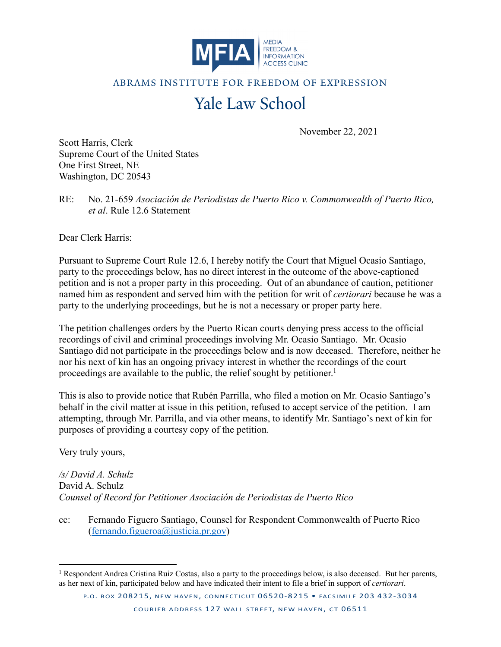

## ABRAMS INSTITUTE FOR FREEDOM OF EXPRESSION

## Yale Law School

November 22, 2021

Scott Harris, Clerk Supreme Court of the United States One First Street, NE Washington, DC 20543

RE: No. 21-659 *Asociación de Periodistas de Puerto Rico v. Commonwealth of Puerto Rico, et al*. Rule 12.6 Statement

Dear Clerk Harris:

Pursuant to Supreme Court Rule 12.6, I hereby notify the Court that Miguel Ocasio Santiago, party to the proceedings below, has no direct interest in the outcome of the above-captioned petition and is not a proper party in this proceeding. Out of an abundance of caution, petitioner named him as respondent and served him with the petition for writ of *certiorari* because he was a party to the underlying proceedings, but he is not a necessary or proper party here.

The petition challenges orders by the Puerto Rican courts denying press access to the official recordings of civil and criminal proceedings involving Mr. Ocasio Santiago. Mr. Ocasio Santiago did not participate in the proceedings below and is now deceased. Therefore, neither he nor his next of kin has an ongoing privacy interest in whether the recordings of the court proceedings are available to the public, the relief sought by petitioner.<sup>1</sup>

This is also to provide notice that Rubén Parrilla, who filed a motion on Mr. Ocasio Santiago's behalf in the civil matter at issue in this petition, refused to accept service of the petition. I am attempting, through Mr. Parrilla, and via other means, to identify Mr. Santiago's next of kin for purposes of providing a courtesy copy of the petition.

Very truly yours,

*/s/ David A. Schulz*  David A. Schulz *Counsel of Record for Petitioner Asociación de Periodistas de Puerto Rico*

cc: Fernando Figuero Santiago, Counsel for Respondent Commonwealth of Puerto Rico (fernando.figueroa@justicia.pr.gov)

<sup>&</sup>lt;sup>1</sup> Respondent Andrea Cristina Ruiz Costas, also a party to the proceedings below, is also deceased. But her parents, as her next of kin, participated below and have indicated their intent to file a brief in support of *certiorari*.